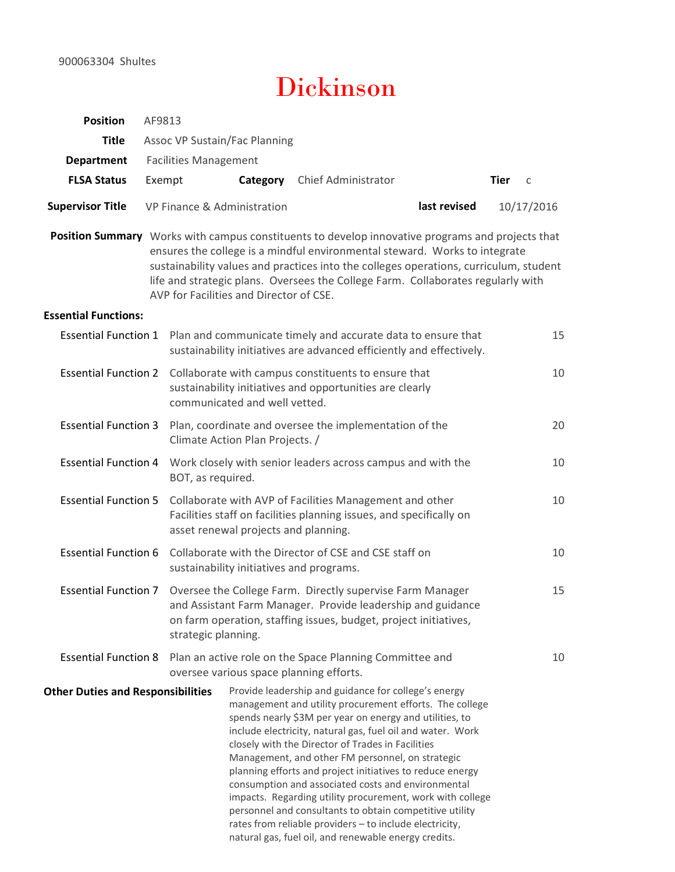# Dickinson

| 900063304 Shultes                        |                                        | <b>Dickinson</b>                                                                                                                                                                                                                         |                                                                                                                                                                                                                                                                                                                                                                                                                                                                                                                                                                                                                                                            |                        |
|------------------------------------------|----------------------------------------|------------------------------------------------------------------------------------------------------------------------------------------------------------------------------------------------------------------------------------------|------------------------------------------------------------------------------------------------------------------------------------------------------------------------------------------------------------------------------------------------------------------------------------------------------------------------------------------------------------------------------------------------------------------------------------------------------------------------------------------------------------------------------------------------------------------------------------------------------------------------------------------------------------|------------------------|
| <b>Position</b>                          | AF9813                                 |                                                                                                                                                                                                                                          |                                                                                                                                                                                                                                                                                                                                                                                                                                                                                                                                                                                                                                                            |                        |
| <b>Title</b>                             |                                        | Assoc VP Sustain/Fac Planning                                                                                                                                                                                                            |                                                                                                                                                                                                                                                                                                                                                                                                                                                                                                                                                                                                                                                            |                        |
| <b>Department</b><br><b>FLSA Status</b>  | <b>Facilities Management</b><br>Exempt | Category                                                                                                                                                                                                                                 | Chief Administrator                                                                                                                                                                                                                                                                                                                                                                                                                                                                                                                                                                                                                                        | Tier<br>$\overline{c}$ |
|                                          |                                        |                                                                                                                                                                                                                                          |                                                                                                                                                                                                                                                                                                                                                                                                                                                                                                                                                                                                                                                            |                        |
| <b>Supervisor Title</b>                  | VP Finance & Administration            |                                                                                                                                                                                                                                          | last revised                                                                                                                                                                                                                                                                                                                                                                                                                                                                                                                                                                                                                                               | 10/17/2016             |
| <b>Essential Functions:</b>              |                                        | AVP for Facilities and Director of CSE.                                                                                                                                                                                                  | ensures the college is a mindful environmental steward. Works to integrate<br>sustainability values and practices into the colleges operations, curriculum, student<br>life and strategic plans. Oversees the College Farm. Collaborates regularly with                                                                                                                                                                                                                                                                                                                                                                                                    |                        |
|                                          |                                        | Essential Function 1 Plan and communicate timely and accurate data to ensure that<br>sustainability initiatives are advanced efficiently and effectively.                                                                                |                                                                                                                                                                                                                                                                                                                                                                                                                                                                                                                                                                                                                                                            | 15                     |
|                                          |                                        | Essential Function 2 Collaborate with campus constituents to ensure that<br>sustainability initiatives and opportunities are clearly<br>communicated and well vetted.                                                                    |                                                                                                                                                                                                                                                                                                                                                                                                                                                                                                                                                                                                                                                            | 10                     |
|                                          |                                        | Essential Function 3 Plan, coordinate and oversee the implementation of the<br>Climate Action Plan Projects. /                                                                                                                           |                                                                                                                                                                                                                                                                                                                                                                                                                                                                                                                                                                                                                                                            | 20                     |
|                                          | BOT, as required.                      |                                                                                                                                                                                                                                          | Essential Function 4 Work closely with senior leaders across campus and with the                                                                                                                                                                                                                                                                                                                                                                                                                                                                                                                                                                           | 10                     |
|                                          |                                        | Essential Function 5 Collaborate with AVP of Facilities Management and other<br>asset renewal projects and planning.                                                                                                                     | Facilities staff on facilities planning issues, and specifically on                                                                                                                                                                                                                                                                                                                                                                                                                                                                                                                                                                                        | 10                     |
|                                          |                                        | Essential Function 6 Collaborate with the Director of CSE and CSE staff on<br>sustainability initiatives and programs.                                                                                                                   |                                                                                                                                                                                                                                                                                                                                                                                                                                                                                                                                                                                                                                                            | 10                     |
|                                          |                                        | Essential Function 7 Oversee the College Farm. Directly supervise Farm Manager<br>and Assistant Farm Manager. Provide leadership and guidance<br>on farm operation, staffing issues, budget, project initiatives,<br>strategic planning. |                                                                                                                                                                                                                                                                                                                                                                                                                                                                                                                                                                                                                                                            | 15                     |
|                                          |                                        | Essential Function 8 Plan an active role on the Space Planning Committee and<br>oversee various space planning efforts.                                                                                                                  |                                                                                                                                                                                                                                                                                                                                                                                                                                                                                                                                                                                                                                                            | 10                     |
| <b>Other Duties and Responsibilities</b> |                                        | closely with the Director of Trades in Facilities                                                                                                                                                                                        | Provide leadership and guidance for college's energy<br>management and utility procurement efforts. The college<br>spends nearly \$3M per year on energy and utilities, to<br>include electricity, natural gas, fuel oil and water. Work<br>Management, and other FM personnel, on strategic<br>planning efforts and project initiatives to reduce energy<br>consumption and associated costs and environmental<br>impacts. Regarding utility procurement, work with college<br>personnel and consultants to obtain competitive utility<br>rates from reliable providers - to include electricity,<br>natural gas, fuel oil, and renewable energy credits. |                        |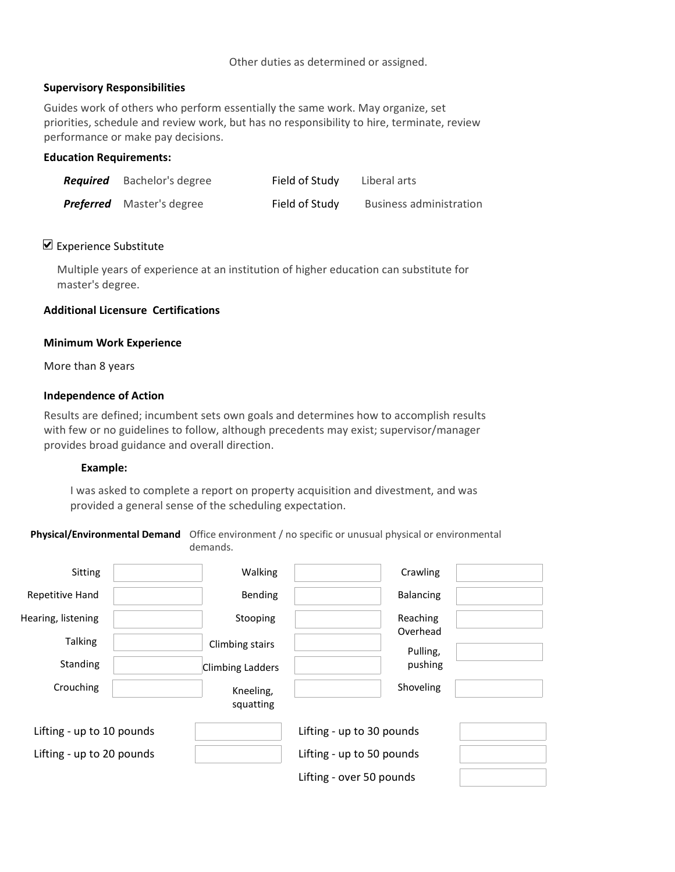## Supervisory Responsibilities

Guides work of others who perform essentially the same work. May organize, set priorities, schedule and review work, but has no responsibility to hire, terminate, review performance or make pay decisions.

# Education Requirements:

| <b>Required</b> Bachelor's degree | Field of Study | Liberal arts                   |
|-----------------------------------|----------------|--------------------------------|
| <b>Preferred</b> Master's degree  | Field of Study | <b>Business administration</b> |

## $\triangleright$  Experience Substitute

Multiple years of experience at an institution of higher education can substitute for master's degree.

## Additional Licensure Certifications

#### Minimum Work Experience

More than 8 years

#### Independence of Action

Results are defined; incumbent sets own goals and determines how to accomplish results with few or no guidelines to follow, although precedents may exist; supervisor/manager provides broad guidance and overall direction.

#### Example:

I was asked to complete a report on property acquisition and divestment, and was provided a general sense of the scheduling expectation.

Physical/Environmental Demand Office environment / no specific or unusual physical or environmental demands.

| Sitting                   | Walking                 | Crawling                  |  |
|---------------------------|-------------------------|---------------------------|--|
| Repetitive Hand           | Bending                 | Balancing                 |  |
| Hearing, listening        | Stooping                | Reaching                  |  |
|                           |                         | Overhead                  |  |
| Talking                   | Climbing stairs         | Pulling,                  |  |
| Standing                  | <b>Climbing Ladders</b> | pushing                   |  |
| Crouching                 | Kneeling,               | Shoveling                 |  |
|                           | squatting               |                           |  |
| Lifting - up to 10 pounds |                         | Lifting - up to 30 pounds |  |
| Lifting - up to 20 pounds |                         | Lifting - up to 50 pounds |  |
|                           |                         | Lifting - over 50 pounds  |  |